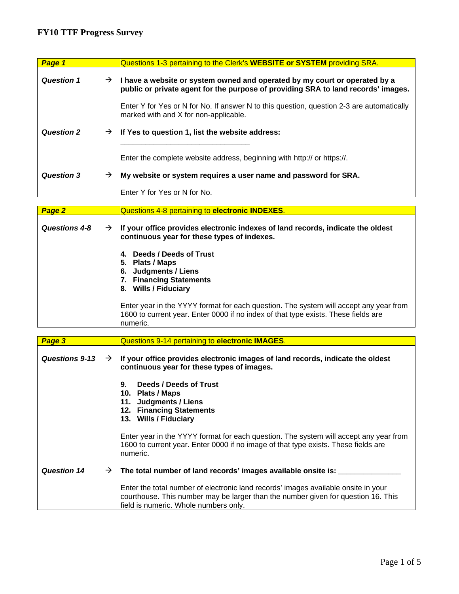## **FY10 TTF Progress Survey**

| Page 1                |               | Questions 1-3 pertaining to the Clerk's WEBSITE or SYSTEM providing SRA.                                                                                                                                         |
|-----------------------|---------------|------------------------------------------------------------------------------------------------------------------------------------------------------------------------------------------------------------------|
| <b>Question 1</b>     | $\rightarrow$ | I have a website or system owned and operated by my court or operated by a<br>public or private agent for the purpose of providing SRA to land records' images.                                                  |
|                       |               | Enter Y for Yes or N for No. If answer N to this question, question 2-3 are automatically<br>marked with and X for non-applicable.                                                                               |
| <b>Question 2</b>     | $\rightarrow$ | If Yes to question 1, list the website address:                                                                                                                                                                  |
|                       |               | Enter the complete website address, beginning with http:// or https://.                                                                                                                                          |
| <b>Question 3</b>     | $\rightarrow$ | My website or system requires a user name and password for SRA.                                                                                                                                                  |
|                       |               | Enter Y for Yes or N for No.                                                                                                                                                                                     |
|                       |               |                                                                                                                                                                                                                  |
| Page 2                |               | Questions 4-8 pertaining to electronic INDEXES.                                                                                                                                                                  |
| Questions 4-8         | $\rightarrow$ | If your office provides electronic indexes of land records, indicate the oldest<br>continuous year for these types of indexes.                                                                                   |
|                       |               | 4. Deeds / Deeds of Trust<br>5. Plats / Maps<br>6. Judgments / Liens<br>7. Financing Statements<br>8. Wills / Fiduciary                                                                                          |
|                       |               | Enter year in the YYYY format for each question. The system will accept any year from<br>1600 to current year. Enter 0000 if no index of that type exists. These fields are<br>numeric.                          |
|                       |               |                                                                                                                                                                                                                  |
| Page 3                |               | Questions 9-14 pertaining to electronic IMAGES.                                                                                                                                                                  |
| <b>Questions 9-13</b> | $\rightarrow$ | If your office provides electronic images of land records, indicate the oldest<br>continuous year for these types of images.                                                                                     |
|                       |               | Deeds / Deeds of Trust<br>9.<br>10. Plats / Maps<br>11. Judgments / Liens<br>12. Financing Statements<br>13. Wills / Fiduciary                                                                                   |
|                       |               | Enter year in the YYYY format for each question. The system will accept any year from<br>1600 to current year. Enter 0000 if no image of that type exists. These fields are<br>numeric.                          |
| <b>Question 14</b>    | $\rightarrow$ | The total number of land records' images available onsite is:                                                                                                                                                    |
|                       |               | Enter the total number of electronic land records' images available onsite in your<br>courthouse. This number may be larger than the number given for question 16. This<br>field is numeric. Whole numbers only. |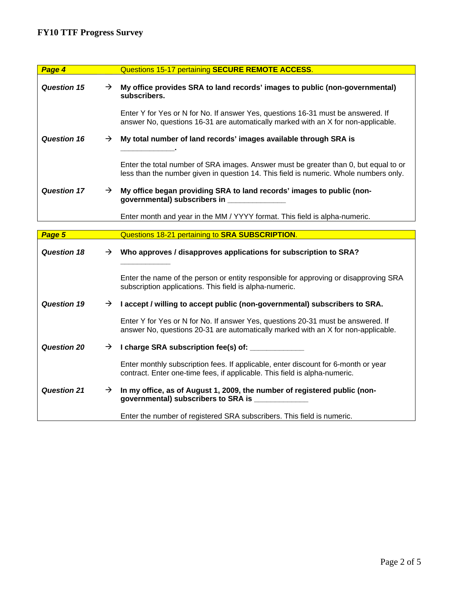| Page 4             |               | Questions 15-17 pertaining SECURE REMOTE ACCESS.                                                                                                                              |
|--------------------|---------------|-------------------------------------------------------------------------------------------------------------------------------------------------------------------------------|
| Question 15        | $\rightarrow$ | My office provides SRA to land records' images to public (non-governmental)<br>subscribers.                                                                                   |
|                    |               | Enter Y for Yes or N for No. If answer Yes, questions 16-31 must be answered. If<br>answer No, questions 16-31 are automatically marked with an X for non-applicable.         |
| <b>Question 16</b> | $\rightarrow$ | My total number of land records' images available through SRA is                                                                                                              |
|                    |               | Enter the total number of SRA images. Answer must be greater than 0, but equal to or<br>less than the number given in question 14. This field is numeric. Whole numbers only. |
| <b>Question 17</b> | $\rightarrow$ | My office began providing SRA to land records' images to public (non-<br>governmental) subscribers in                                                                         |
|                    |               | Enter month and year in the MM / YYYY format. This field is alpha-numeric.                                                                                                    |

| Page 5             |               | Questions 18-21 pertaining to SRA SUBSCRIPTION.                                                                                                                       |
|--------------------|---------------|-----------------------------------------------------------------------------------------------------------------------------------------------------------------------|
| <b>Question 18</b> | $\rightarrow$ | Who approves / disapproves applications for subscription to SRA?                                                                                                      |
|                    |               | Enter the name of the person or entity responsible for approving or disapproving SRA<br>subscription applications. This field is alpha-numeric.                       |
| <b>Question 19</b> | $\rightarrow$ | I accept / willing to accept public (non-governmental) subscribers to SRA.                                                                                            |
|                    |               | Enter Y for Yes or N for No. If answer Yes, questions 20-31 must be answered. If<br>answer No, questions 20-31 are automatically marked with an X for non-applicable. |
| Question 20        | $\rightarrow$ | I charge SRA subscription fee(s) of: ____________                                                                                                                     |
|                    |               | Enter monthly subscription fees. If applicable, enter discount for 6-month or year<br>contract. Enter one-time fees, if applicable. This field is alpha-numeric.      |
| <b>Question 21</b> | $\rightarrow$ | In my office, as of August 1, 2009, the number of registered public (non-<br>governmental) subscribers to SRA is _____________                                        |
|                    |               | Enter the number of registered SRA subscribers. This field is numeric.                                                                                                |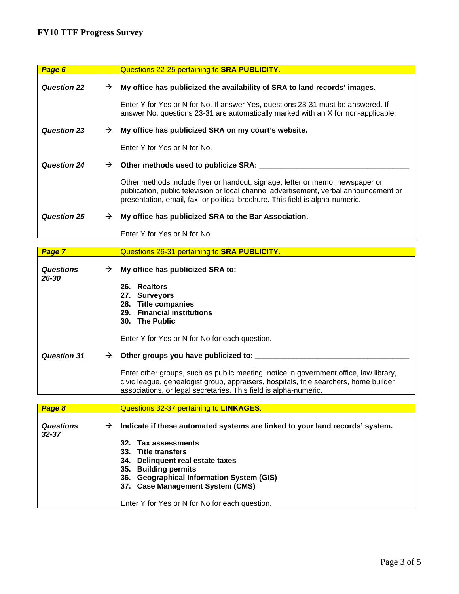## **FY10 TTF Progress Survey**

| Page 6             |               | Questions 22-25 pertaining to SRA PUBLICITY.                                                                                                                                                                                                            |
|--------------------|---------------|---------------------------------------------------------------------------------------------------------------------------------------------------------------------------------------------------------------------------------------------------------|
| <b>Question 22</b> | $\rightarrow$ | My office has publicized the availability of SRA to land records' images.                                                                                                                                                                               |
|                    |               | Enter Y for Yes or N for No. If answer Yes, questions 23-31 must be answered. If<br>answer No, questions 23-31 are automatically marked with an X for non-applicable.                                                                                   |
| <b>Question 23</b> | $\rightarrow$ | My office has publicized SRA on my court's website.                                                                                                                                                                                                     |
|                    |               | Enter Y for Yes or N for No.                                                                                                                                                                                                                            |
| <b>Question 24</b> | →             | Other methods used to publicize SRA:                                                                                                                                                                                                                    |
|                    |               | Other methods include flyer or handout, signage, letter or memo, newspaper or<br>publication, public television or local channel advertisement, verbal announcement or<br>presentation, email, fax, or political brochure. This field is alpha-numeric. |
| <b>Question 25</b> | →             | My office has publicized SRA to the Bar Association.                                                                                                                                                                                                    |
|                    |               | Enter Y for Yes or N for No.                                                                                                                                                                                                                            |

| Page 7                        |               | Questions 26-31 pertaining to SRA PUBLICITY.                                                                                                                                                                                                       |
|-------------------------------|---------------|----------------------------------------------------------------------------------------------------------------------------------------------------------------------------------------------------------------------------------------------------|
| <b>Questions</b><br>26-30     | $\rightarrow$ | My office has publicized SRA to:<br>26. Realtors<br>27.<br><b>Surveyors</b><br>28. Title companies<br>29. Financial institutions<br>30. The Public                                                                                                 |
| <b>Question 31</b>            | $\rightarrow$ | Enter Y for Yes or N for No for each question.<br>Other groups you have publicized to: ____                                                                                                                                                        |
|                               |               | Enter other groups, such as public meeting, notice in government office, law library,<br>civic league, genealogist group, appraisers, hospitals, title searchers, home builder<br>associations, or legal secretaries. This field is alpha-numeric. |
|                               |               |                                                                                                                                                                                                                                                    |
| Page 8                        |               | Questions 32-37 pertaining to LINKAGES.                                                                                                                                                                                                            |
| <b>Questions</b><br>$32 - 37$ | $\rightarrow$ | Indicate if these automated systems are linked to your land records' system.<br>32. Tax assessments<br>33. Title transfers<br>Delinquent real estate taxes<br>34.<br>35. Building permits<br>36. Geographical Information System (GIS)             |

**37. Case Management System (CMS)** 

Enter Y for Yes or N for No for each question.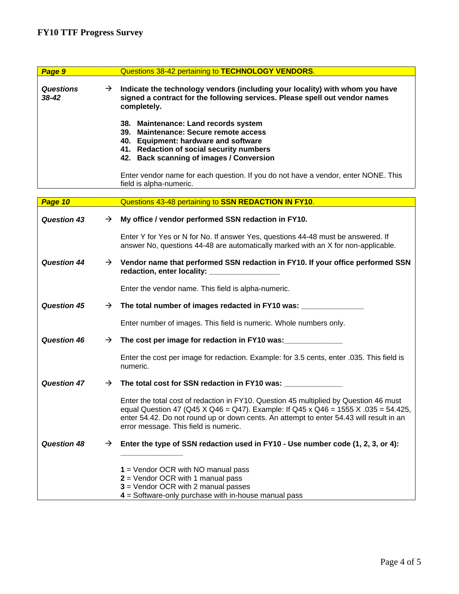| Page 9                        | Questions 38-42 pertaining to <b>TECHNOLOGY VENDORS</b> .                                                                                                                                                     |
|-------------------------------|---------------------------------------------------------------------------------------------------------------------------------------------------------------------------------------------------------------|
| <b>Questions</b><br>$38 - 42$ | Indicate the technology vendors (including your locality) with whom you have<br>$\rightarrow$<br>signed a contract for the following services. Please spell out vendor names<br>completely.                   |
|                               | 38. Maintenance: Land records system<br>39. Maintenance: Secure remote access<br>40. Equipment: hardware and software<br>41. Redaction of social security numbers<br>42. Back scanning of images / Conversion |
|                               | Enter vendor name for each question. If you do not have a vendor, enter NONE. This<br>field is alpha-numeric.                                                                                                 |
| $Dao 40$                      | Questions 43-48 pertaining to <b>SSN DEDACTION IN EV10</b>                                                                                                                                                    |

| <u>raye iv </u>    |               | <u>QUESIIONS 45-40 DENAINING 10 SSN REDACTION IN FT TU.</u>                                                                                                                                                                                                                                                     |
|--------------------|---------------|-----------------------------------------------------------------------------------------------------------------------------------------------------------------------------------------------------------------------------------------------------------------------------------------------------------------|
| <b>Question 43</b> | $\rightarrow$ | My office / vendor performed SSN redaction in FY10.                                                                                                                                                                                                                                                             |
|                    |               | Enter Y for Yes or N for No. If answer Yes, questions 44-48 must be answered. If<br>answer No, questions 44-48 are automatically marked with an X for non-applicable.                                                                                                                                           |
| <b>Question 44</b> |               | $\rightarrow$ Vendor name that performed SSN redaction in FY10. If your office performed SSN<br>redaction, enter locality: _________________                                                                                                                                                                    |
|                    |               | Enter the vendor name. This field is alpha-numeric.                                                                                                                                                                                                                                                             |
| <b>Question 45</b> | $\rightarrow$ | The total number of images redacted in FY10 was: _______________________________                                                                                                                                                                                                                                |
|                    |               | Enter number of images. This field is numeric. Whole numbers only.                                                                                                                                                                                                                                              |
| <b>Question 46</b> | $\rightarrow$ | The cost per image for redaction in FY10 was:                                                                                                                                                                                                                                                                   |
|                    |               | Enter the cost per image for redaction. Example: for 3.5 cents, enter .035. This field is<br>numeric.                                                                                                                                                                                                           |
| <b>Question 47</b> | $\rightarrow$ | The total cost for SSN redaction in FY10 was:                                                                                                                                                                                                                                                                   |
|                    |               | Enter the total cost of redaction in FY10. Question 45 multiplied by Question 46 must<br>equal Question 47 (Q45 X Q46 = Q47). Example: If Q45 x Q46 = 1555 X .035 = 54.425,<br>enter 54.42. Do not round up or down cents. An attempt to enter 54.43 will result in an<br>error message. This field is numeric. |
| <b>Question 48</b> | $\rightarrow$ | Enter the type of SSN redaction used in FY10 - Use number code (1, 2, 3, or 4):                                                                                                                                                                                                                                 |
|                    |               |                                                                                                                                                                                                                                                                                                                 |
|                    |               | $1 =$ Vendor OCR with NO manual pass                                                                                                                                                                                                                                                                            |
|                    |               | $2$ = Vendor OCR with 1 manual pass                                                                                                                                                                                                                                                                             |
|                    |               | $3$ = Vendor OCR with 2 manual passes<br>$4 =$ Software-only purchase with in-house manual pass                                                                                                                                                                                                                 |
|                    |               |                                                                                                                                                                                                                                                                                                                 |